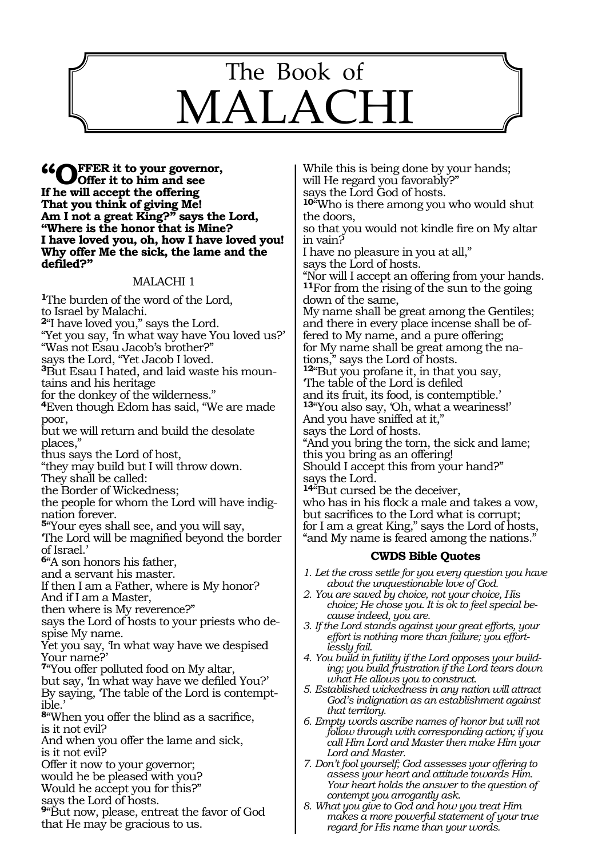

**"Offer it to your governor, Offer it to him and see If he will accept the offering That you think of giving Me! Am I not a great King?" says the Lord, "Where is the honor that is Mine? I have loved you, oh, how I have loved you! Why offer Me the sick, the lame and the defiled?"**

#### MALACHI 1

**<sup>1</sup>**The burden of the word of the Lord, to Israel by Malachi. **<sup>2</sup>**"I have loved you," says the Lord. "Yet you say, 'In what way have You loved us?' "Was not Esau Jacob's brother?" says the Lord, "Yet Jacob I loved. **3**But Esau I hated, and laid waste his mountains and his heritage for the donkey of the wilderness." **<sup>4</sup>**Even though Edom has said, "We are made poor, but we will return and build the desolate places,"

thus says the Lord of host,

"they may build but I will throw down. They shall be called:

the Border of Wickedness;

the people for whom the Lord will have indignation forever.

**<sup>5</sup>**"Your eyes shall see, and you will say,

'The Lord will be magnified beyond the border of Israel.'

**<sup>6</sup>**"A son honors his father,

and a servant his master.

If then I am a Father, where is My honor? And if I am a Master,

then where is My reverence?"

says the Lord of hosts to your priests who despise My name.

Yet you say, 'In what way have we despised Your name?'

**<sup>7</sup>**"You offer polluted food on My altar, but say, 'In what way have we defiled You?'

By saying, 'The table of the Lord is contemptible.'

**<sup>8</sup>**"When you offer the blind as a sacrifice, is it not evil?

And when you offer the lame and sick, is it not evil?

Offer it now to your governor;

would he be pleased with you?

Would he accept you for this?"

says the Lord of hosts.

**<sup>9</sup>**"But now, please, entreat the favor of God that He may be gracious to us.

While this is being done by your hands; will He regard you favorably?" says the Lord God of hosts. **<sup>10</sup>**"Who is there among you who would shut the doors, so that you would not kindle fire on My altar in vain? I have no pleasure in you at all," says the Lord of hosts. "Nor will I accept an offering from your hands. **<sup>11</sup>**For from the rising of the sun to the going down of the same, My name shall be great among the Gentiles; and there in every place incense shall be offered to My name, and a pure offering; for My name shall be great among the nations," says the Lord of hosts. **<sup>12</sup>**"But you profane it, in that you say, 'The table of the Lord is defiled and its fruit, its food, is contemptible.' **<sup>13</sup>**"You also say, 'Oh, what a weariness!' And you have sniffed at it," says the Lord of hosts. "And you bring the torn, the sick and lame; this you bring as an offering! Should I accept this from your hand?" says the Lord. **<sup>14</sup>**"But cursed be the deceiver, who has in his flock a male and takes a vow,

but sacrifices to the Lord what is corrupt; for I am a great King," says the Lord of hosts, "and My name is feared among the nations."

#### **CWDS Bible Quotes**

*1. Let the cross settle for you every question you have about the unquestionable love of God.*

- *2. You are saved by choice, not your choice, His choice; He chose you. It is ok to feel special because indeed, you are.*
- *3. If the Lord stands against your great efforts, your effort is nothing more than failure; you effortlessly fail.*
- *4. You build in futility if the Lord opposes your building; you build frustration if the Lord tears down what He allows you to construct.*
- *5. Established wickedness in any nation will attract God's indignation as an establishment against that territory.*
- *6. Empty words ascribe names of honor but will not follow through with corresponding action; if you call Him Lord and Master then make Him your Lord and Master.*

*7. Don't fool yourself; God assesses your offering to assess your heart and attitude towards Him. Your heart holds the answer to the question of contempt you arrogantly ask.*

*8. What you give to God and how you treat Him makes a more powerful statement of your true regard for His name than your words.*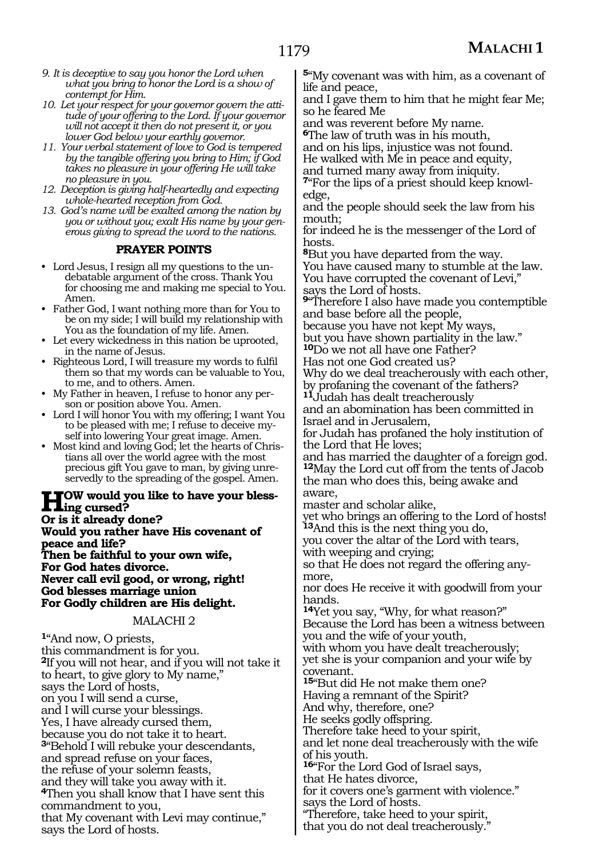- *9. It is deceptive to say you honor the Lord when what you bring to honor the Lord is a show of contempt for Him.*
- *10. Let your respect for your governor govern the attitude of your offering to the Lord. If your governor will not accept it then do not present it, or you lower God below your earthly governor.*
- *11. Your verbal statement of love to God is tempered by the tangible offering you bring to Him; if God takes no pleasure in your offering He will take no pleasure in you.*
- *12. Deception is giving half-heartedly and expecting whole-hearted reception from God.*
- *13. God's name will be exalted among the nation by you or without you; exalt His name by your generous giving to spread the word to the nations.*

## **PRAYER POINTS**

- Lord Jesus, I resign all my questions to the undebatable argument of the cross. Thank You for choosing me and making me special to You. Amen.
- Father God, I want nothing more than for You to be on my side; I will build my relationship with You as the foundation of my life. Amen.
- Let every wickedness in this nation be uprooted, in the name of Jesus.
- Righteous Lord, I will treasure my words to fulfil them so that my words can be valuable to You, to me, and to others. Amen.
- My Father in heaven, I refuse to honor any person or position above You. Amen.
- Lord I will honor You with my offering; I want You to be pleased with me; I refuse to deceive myself into lowering Your great image. Amen.
- Most kind and loving God; let the hearts of Christians all over the world agree with the most precious gift You gave to man, by giving unreservedly to the spreading of the gospel. Amen.

**How would you like to have your bless- ing cursed? Or is it already done? Would you rather have His covenant of peace and life? Then be faithful to your own wife, For God hates divorce. Never call evil good, or wrong, right! God blesses marriage union For Godly children are His delight.**

#### MALACHI 2

**<sup>1</sup>**"And now, O priests, this commandment is for you. **<sup>2</sup>**If you will not hear, and if you will not take it to heart, to give glory to My name," says the Lord of hosts, on you I will send a curse, and I will curse your blessings. Yes, I have already cursed them, because you do not take it to heart. **<sup>3</sup>**"Behold I will rebuke your descendants, and spread refuse on your faces, the refuse of your solemn feasts, and they will take you away with it. **<sup>4</sup>**Then you shall know that I have sent this commandment to you, that My covenant with Levi may continue," says the Lord of hosts.

**<sup>5</sup>**"My covenant was with him, as a covenant of life and peace,

and I gave them to him that he might fear Me; so he feared Me

and was reverent before My name.

**<sup>6</sup>**The law of truth was in his mouth, and on his lips, injustice was not found.

He walked with Me in peace and equity,

and turned many away from iniquity.

**7**"For the lips of a priest should keep knowledge,

and the people should seek the law from his mouth;

for indeed he is the messenger of the Lord of hosts.

**<sup>8</sup>**But you have departed from the way. You have caused many to stumble at the law. You have corrupted the covenant of Levi," says the Lord of hosts.

**<sup>9</sup>**"Therefore I also have made you contemptible and base before all the people,

because you have not kept My ways, but you have shown partiality in the law."

**<sup>10</sup>**Do we not all have one Father?

Has not one God created us?

Why do we deal treacherously with each other, by profaning the covenant of the fathers?

**<sup>11</sup>**Judah has dealt treacherously and an abomination has been committed in Israel and in Jerusalem,

for Judah has profaned the holy institution of the Lord that He loves;

and has married the daughter of a foreign god. **<sup>12</sup>**May the Lord cut off from the tents of Jacob the man who does this, being awake and aware,

master and scholar alike,

yet who brings an offering to the Lord of hosts! **<sup>13</sup>**And this is the next thing you do,

you cover the altar of the Lord with tears, with weeping and crying;

so that He does not regard the offering any- more,

nor does He receive it with goodwill from your hands.

**<sup>14</sup>**Yet you say, "Why, for what reason?" Because the Lord has been a witness between you and the wife of your youth,

with whom you have dealt treacherously; yet she is your companion and your wife by covenant.

**<sup>15</sup>**"But did He not make them one? Having a remnant of the Spirit?

And why, therefore, one?

He seeks godly offspring.

Therefore take heed to your spirit,

and let none deal treacherously with the wife of his youth.

**<sup>16</sup>**"For the Lord God of Israel says, that He hates divorce,

for it covers one's garment with violence." says the Lord of hosts.

"Therefore, take heed to your spirit,

that you do not deal treacherously."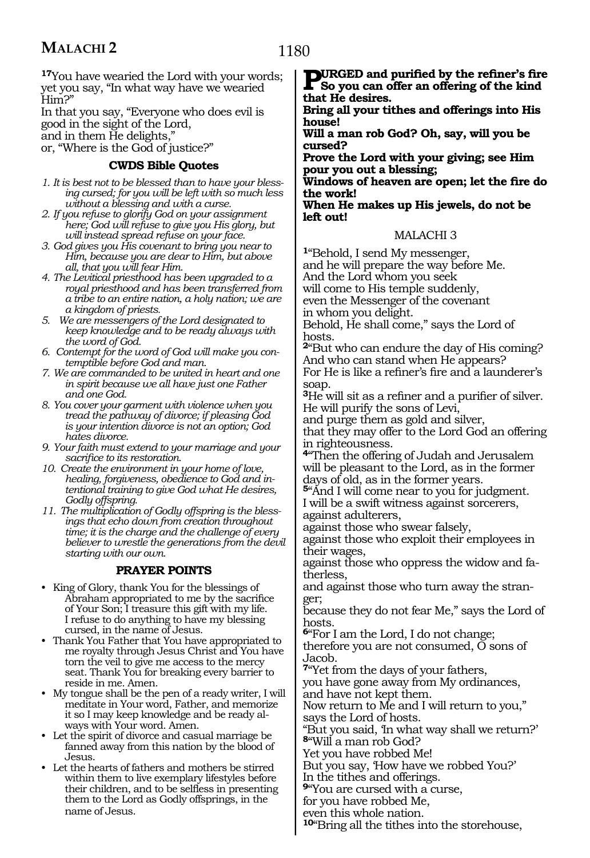# **MALACHI 2**

**<sup>17</sup>**You have wearied the Lord with your words; yet you say, "In what way have we wearied Him?"

In that you say, "Everyone who does evil is good in the sight of the Lord, and in them He delights,"

or, "Where is the God of justice?"

## **CWDS Bible Quotes**

- *1. It is best not to be blessed than to have your blessing cursed; for you will be left with so much less without a blessing and with a curse.*
- *2. If you refuse to glorify God on your assignment here; God will refuse to give you His glory, but will instead spread refuse on your face.*
- *3. God gives you His covenant to bring you near to Him, because you are dear to Him, but above all, that you will fear Him.*
- *4. The Levitical priesthood has been upgraded to a royal priesthood and has been transferred from a tribe to an entire nation, a holy nation; we are a kingdom of priests.*
- *5. We are messengers of the Lord designated to keep knowledge and to be ready always with the word of God.*
- *6. Contempt for the word of God will make you contemptible before God and man.*
- *7. We are commanded to be united in heart and one in spirit because we all have just one Father and one God.*
- *8. You cover your garment with violence when you tread the pathway of divorce; if pleasing God is your intention divorce is not an option; God hates divorce.*
- *9. Your faith must extend to your marriage and your sacrifice to its restoration.*
- *10. Create the environment in your home of love, healing, forgiveness, obedience to God and intentional training to give God what He desires, Godly offspring.*
- *11. The multiplication of Godly offspring is the blessings that echo down from creation throughout time; it is the charge and the challenge of every believer to wrestle the generations from the devil starting with our own.*

## **PRAYER POINTS**

- King of Glory, thank You for the blessings of Abraham appropriated to me by the sacrifice of Your Son; I treasure this gift with my life. I refuse to do anything to have my blessing cursed, in the name of Jesus.
- Thank You Father that You have appropriated to me royalty through Jesus Christ and You have torn the veil to give me access to the mercy seat. Thank You for breaking every barrier to reside in me. Amen.
- My tongue shall be the pen of a ready writer, I will meditate in Your word, Father, and memorize it so I may keep knowledge and be ready always with Your word. Amen.
- Let the spirit of divorce and casual marriage be fanned away from this nation by the blood of Jesus.
- Let the hearts of fathers and mothers be stirred within them to live exemplary lifestyles before their children, and to be selfless in presenting them to the Lord as Godly offsprings, in the name of Jesus.

**Bring all your tithes and offerings into His house!**

**Will a man rob God? Oh, say, will you be cursed?**

**Prove the Lord with your giving; see Him pour you out a blessing;** 

**Windows of heaven are open; let the fire do the work!**

**When He makes up His jewels, do not be left out!**

## MALACHI 3

**<sup>1</sup>**"Behold, I send My messenger, and he will prepare the way before Me. And the Lord whom you seek will come to His temple suddenly, even the Messenger of the covenant in whom you delight.

Behold, He shall come," says the Lord of hosts.

**<sup>2</sup>**"But who can endure the day of His coming? And who can stand when He appears? For He is like a refiner's fire and a launderer's soap.

**<sup>3</sup>**He will sit as a refiner and a purifier of silver. He will purify the sons of Levi,

and purge them as gold and silver,

that they may offer to the Lord God an offering in righteousness.

**<sup>4</sup>**"Then the offering of Judah and Jerusalem will be pleasant to the Lord, as in the former days of old, as in the former years.

**<sup>5</sup>**"And I will come near to you for judgment. I will be a swift witness against sorcerers, against adulterers,

against those who swear falsely,

against those who exploit their employees in their wages,

against those who oppress the widow and fatherless,

and against those who turn away the stranger;

because they do not fear Me," says the Lord of hosts.

**<sup>6</sup>**"For I am the Lord, I do not change; therefore you are not consumed, O sons of Jacob.

**<sup>7</sup>**"Yet from the days of your fathers,

you have gone away from My ordinances, and have not kept them.

Now return to Me and I will return to you," says the Lord of hosts.

"But you said, 'In what way shall we return?' **<sup>8</sup>**"Will a man rob God?

Yet you have robbed Me!

But you say, 'How have we robbed You?'

In the tithes and offerings. **<sup>9</sup>**"You are cursed with a curse,

for you have robbed Me,

even this whole nation.

**<sup>10</sup>**"Bring all the tithes into the storehouse,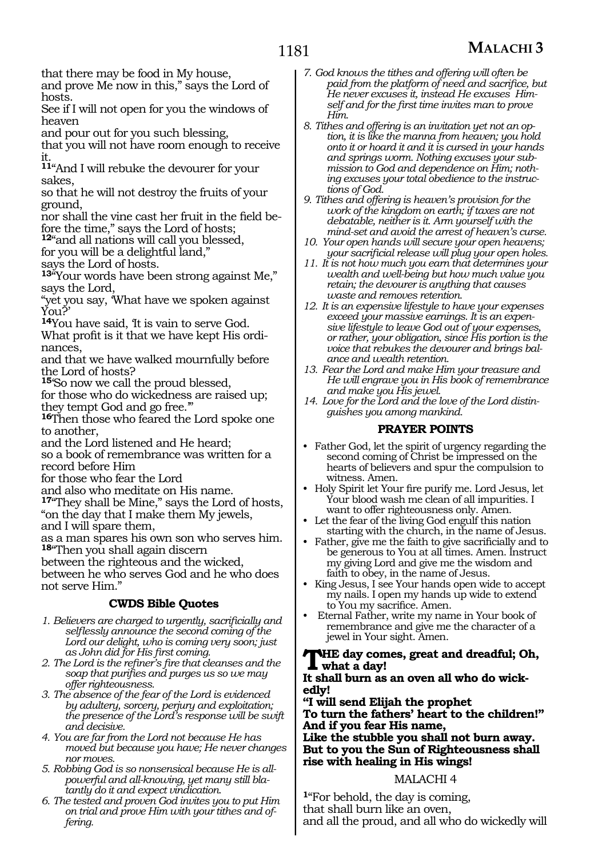## **MALACHI 3**

that there may be food in My house,

and prove Me now in this," says the Lord of hosts.

See if I will not open for you the windows of heaven

and pour out for you such blessing,

that you will not have room enough to receive it.

**<sup>11</sup>**"And I will rebuke the devourer for your sakes,

so that he will not destroy the fruits of your ground,

nor shall the vine cast her fruit in the field before the time," says the Lord of hosts;

**<sup>12</sup>**"and all nations will call you blessed,

for you will be a delightful land,"

says the Lord of hosts.

**<sup>13</sup>**"Your words have been strong against Me," says the Lord,

"yet you say, 'What have we spoken against You?'

**<sup>14</sup>**You have said, 'It is vain to serve God. What profit is it that we have kept His ordinances,

and that we have walked mournfully before the Lord of hosts?

**<sup>15</sup>**'So now we call the proud blessed,

for those who do wickedness are raised up; they tempt God and go free.'"

**<sup>16</sup>**Then those who feared the Lord spoke one to another,

and the Lord listened and He heard;

so a book of remembrance was written for a record before Him

for those who fear the Lord

and also who meditate on His name.

**<sup>17</sup>**"They shall be Mine," says the Lord of hosts, "on the day that I make them My jewels, and I will spare them,

as a man spares his own son who serves him. **<sup>18</sup>**"Then you shall again discern

between the righteous and the wicked,

between he who serves God and he who does not serve Him."

#### **CWDS Bible Quotes**

- *1. Believers are charged to urgently, sacrificially and selflessly announce the second coming of the Lord our delight, who is coming very soon; just as John did for His first coming.*
- *2. The Lord is the refiner's fire that cleanses and the soap that purifies and purges us so we may offer righteousness.*
- *3. The absence of the fear of the Lord is evidenced by adultery, sorcery, perjury and exploitation; the presence of the Lord's response will be swift and decisive.*
- *4. You are far from the Lord not because He has moved but because you have; He never changes nor moves.*
- *5. Robbing God is so nonsensical because He is allpowerful and all-knowing, yet many still blatantly do it and expect vindication.*
- *6. The tested and proven God invites you to put Him on trial and prove Him with your tithes and offering.*
- *7. God knows the tithes and offering will often be paid from the platform of need and sacrifice, but He never excuses it, instead He excuses Himself and for the first time invites man to prove Him.*
- *8. Tithes and offering is an invitation yet not an option, it is like the manna from heaven; you hold onto it or hoard it and it is cursed in your hands and springs worm. Nothing excuses your submission to God and dependence on Him; nothing excuses your total obedience to the instructions of God.*
- *9. Tithes and offering is heaven's provision for the work of the kingdom on earth; if taxes are not debatable, neither is it. Arm yourself with the mind-set and avoid the arrest of heaven's curse.*
- *10. Your open hands will secure your open heavens; your sacrificial release will plug your open holes.*
- *11. It is not how much you earn that determines your wealth and well-being but how much value you retain; the devourer is anything that causes waste and removes retention.*
- *12. It is an expensive lifestyle to have your expenses exceed your massive earnings. It is an expensive lifestyle to leave God out of your expenses, or rather, your obligation, since His portion is the voice that rebukes the devourer and brings balance and wealth retention.*
- *13. Fear the Lord and make Him your treasure and He will engrave you in His book of remembrance and make you His jewel.*
- *14. Love for the Lord and the love of the Lord distinguishes you among mankind.*

## **PRAYER POINTS**

- Father God, let the spirit of urgency regarding the second coming of Christ be impressed on the hearts of believers and spur the compulsion to witness. Amen.
- Holy Spirit let Your fire purify me. Lord Jesus, let Your blood wash me clean of all impurities. I want to offer righteousness only. Amen.
- Let the fear of the living God engulf this nation starting with the church, in the name of Jesus.
- Father, give me the faith to give sacrificially and to be generous to You at all times. Amen. Instruct my giving Lord and give me the wisdom and faith to obey, in the name of Jesus.
- King Jesus, I see Your hands open wide to accept my nails. I open my hands up wide to extend to You my sacrifice. Amen.
- Eternal Father, write my name in Your book of remembrance and give me the character of a jewel in Your sight. Amen.

### **The day comes, great and dreadful; Oh, what a day!**

#### **It shall burn as an oven all who do wickedly!**

**"I will send Elijah the prophet To turn the fathers' heart to the children!" And if you fear His name, Like the stubble you shall not burn away.**

**But to you the Sun of Righteousness shall rise with healing in His wings!**

## MALACHI 4

**<sup>1</sup>**"For behold, the day is coming, that shall burn like an oven, and all the proud, and all who do wickedly will